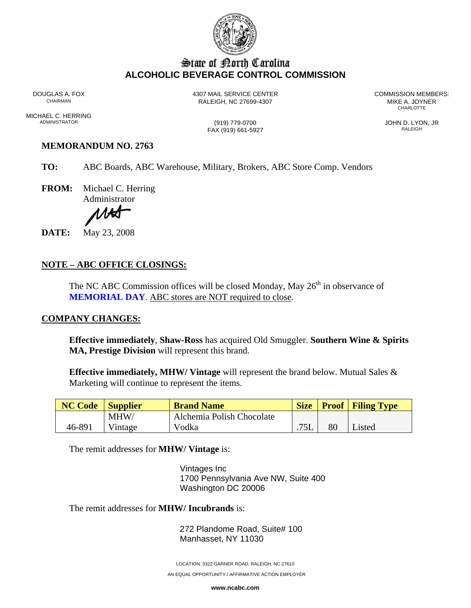

# State of Borth Carolina **ALCOHOLIC BEVERAGE CONTROL COMMISSION**

DOUGLAS A. FOX **4307 MAIL SERVICE CENTER** COMMISSION MEMBERS:<br>CHAIRMAN CHAIRMAN RALEIGH, NC 27699-4307 MIKE A. JOYNER CHARLOTTE **CHARLOTTE** 

MICHAEL C. HERRING<br>ADMINISTRATOR

FAX (919) 661-5927

 $\frac{1019}{779-0700}$  JOHN D. LYON, JR

## **MEMORANDUM NO. 2763**

**TO:** ABC Boards, ABC Warehouse, Military, Brokers, ABC Store Comp. Vendors

**FROM:** Michael C. Herring Administrator

1.HA

**DATE:** May 23, 2008

### **NOTE – ABC OFFICE CLOSINGS:**

The NC ABC Commission offices will be closed Monday, May  $26<sup>th</sup>$  in observance of **MEMORIAL DAY**. ABC stores are NOT required to close.

#### **COMPANY CHANGES:**

**Effective immediately**, **Shaw-Ross** has acquired Old Smuggler. **Southern Wine & Spirits MA, Prestige Division** will represent this brand.

**Effective immediately, MHW/ Vintage** will represent the brand below. Mutual Sales & Marketing will continue to represent the items.

| <b>NC Code</b> Supplier |         | <b>Brand Name</b>         | <b>Size</b> |    | <b>Proof</b> Filing Type |
|-------------------------|---------|---------------------------|-------------|----|--------------------------|
|                         | MHW/    | Alchemia Polish Chocolate |             |    |                          |
| 46-891                  | Vintage | Vodka                     | 75L         | 80 | Listed                   |

The remit addresses for **MHW/ Vintage** is:

Vintages Inc 1700 Pennsylvania Ave NW, Suite 400 Washington DC 20006

The remit addresses for **MHW/ Incubrands** is:

272 Plandome Road, Suite# 100 Manhasset, NY 11030

LOCATION: 3322 GARNER ROAD, RALEIGH, NC 27610

AN EQUAL OPPORTUNITY / AFFIRMATIVE ACTION EMPLOYER

**www.ncabc.com**